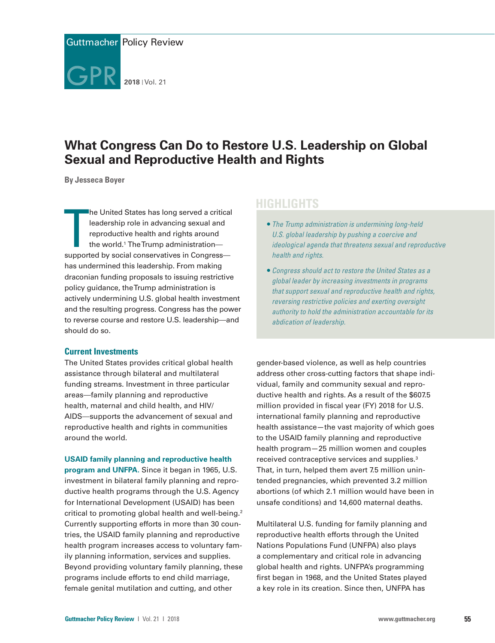

# **What Congress Can Do to Restore U.S. Leadership on Global Sexual and Reproductive Health and Rights**

**By Jesseca Boyer**

he United States has long served a critica<br>leadership role in advancing sexual and<br>reproductive health and rights around<br>the world.<sup>1</sup> The Trump administration—<br>supported by social conservatives in Congress he United States has long served a critical leadership role in advancing sexual and reproductive health and rights around the world.<sup>1</sup> The Trump administrationhas undermined this leadership. From making draconian funding proposals to issuing restrictive policy guidance, the Trump administration is actively undermining U.S. global health investment and the resulting progress. Congress has the power to reverse course and restore U.S. leadership—and should do so.

### **Current Investments**

The United States provides critical global health assistance through bilateral and multilateral funding streams. Investment in three particular areas—family planning and reproductive health, maternal and child health, and HIV/ AIDS—supports the advancement of sexual and reproductive health and rights in communities around the world.

**USAID family planning and reproductive health** 

**program and UNFPA.** Since it began in 1965, U.S. investment in bilateral family planning and reproductive health programs through the U.S. Agency for International Development (USAID) has been critical to promoting global health and well-being.<sup>2</sup> Currently supporting efforts in more than 30 countries, the USAID family planning and reproductive health program increases access to voluntary family planning information, services and supplies. Beyond providing voluntary family planning, these programs include efforts to end child marriage, female genital mutilation and cutting, and other

## **HIGHLIGHTS**

- *The Trump administration is undermining long-held U.S. global leadership by pushing a coercive and ideological agenda that threatens sexual and reproductive health and rights.*
- *Congress should act to restore the United States as a global leader by increasing investments in programs that support sexual and reproductive health and rights, reversing restrictive policies and exerting oversight authority to hold the administration accountable for its abdication of leadership.*

gender-based violence, as well as help countries address other cross-cutting factors that shape individual, family and community sexual and reproductive health and rights. As a result of the \$607.5 million provided in fiscal year (FY) 2018 for U.S. international family planning and reproductive health assistance—the vast majority of which goes to the USAID family planning and reproductive health program—25 million women and couples received contraceptive services and supplies.3 That, in turn, helped them avert 7.5 million unintended pregnancies, which prevented 3.2 million abortions (of which 2.1 million would have been in unsafe conditions) and 14,600 maternal deaths.

Multilateral U.S. funding for family planning and reproductive health efforts through the United Nations Populations Fund (UNFPA) also plays a complementary and critical role in advancing global health and rights. UNFPA's programming first began in 1968, and the United States played a key role in its creation. Since then, UNFPA has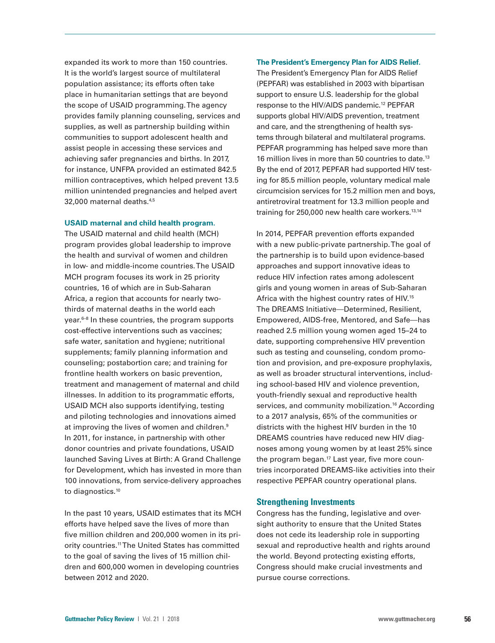expanded its work to more than 150 countries. It is the world's largest source of multilateral population assistance; its efforts often take place in humanitarian settings that are beyond the scope of USAID programming. The agency provides family planning counseling, services and supplies, as well as partnership building within communities to support adolescent health and assist people in accessing these services and achieving safer pregnancies and births. In 2017, for instance, UNFPA provided an estimated 842.5 million contraceptives, which helped prevent 13.5 million unintended pregnancies and helped avert 32,000 maternal deaths.4,5

#### **USAID maternal and child health program.**

The USAID maternal and child health (MCH) program provides global leadership to improve the health and survival of women and children in low- and middle-income countries. The USAID MCH program focuses its work in 25 priority countries, 16 of which are in Sub-Saharan Africa, a region that accounts for nearly twothirds of maternal deaths in the world each  $year<sup>6-8</sup>$  In these countries, the program supports cost-effective interventions such as vaccines; safe water, sanitation and hygiene; nutritional supplements; family planning information and counseling; postabortion care; and training for frontline health workers on basic prevention, treatment and management of maternal and child illnesses. In addition to its programmatic efforts, USAID MCH also supports identifying, testing and piloting technologies and innovations aimed at improving the lives of women and children.<sup>9</sup> In 2011, for instance, in partnership with other donor countries and private foundations, USAID launched Saving Lives at Birth: A Grand Challenge for Development, which has invested in more than 100 innovations, from service-delivery approaches to diagnostics.<sup>10</sup>

In the past 10 years, USAID estimates that its MCH efforts have helped save the lives of more than five million children and 200,000 women in its priority countries.<sup>11</sup> The United States has committed to the goal of saving the lives of 15 million children and 600,000 women in developing countries between 2012 and 2020.

### **The President's Emergency Plan for AIDS Relief.**

The President's Emergency Plan for AIDS Relief (PEPFAR) was established in 2003 with bipartisan support to ensure U.S. leadership for the global response to the HIV/AIDS pandemic.12 PEPFAR supports global HIV/AIDS prevention, treatment and care, and the strengthening of health systems through bilateral and multilateral programs. PEPFAR programming has helped save more than 16 million lives in more than 50 countries to date.<sup>13</sup> By the end of 2017, PEPFAR had supported HIV testing for 85.5 million people, voluntary medical male circumcision services for 15.2 million men and boys, antiretroviral treatment for 13.3 million people and training for 250,000 new health care workers.<sup>13,14</sup>

In 2014, PEPFAR prevention efforts expanded with a new public-private partnership. The goal of the partnership is to build upon evidence-based approaches and support innovative ideas to reduce HIV infection rates among adolescent girls and young women in areas of Sub-Saharan Africa with the highest country rates of HIV.15 The DREAMS Initiative—Determined, Resilient, Empowered, AIDS-free, Mentored, and Safe—has reached 2.5 million young women aged 15–24 to date, supporting comprehensive HIV prevention such as testing and counseling, condom promotion and provision, and pre-exposure prophylaxis, as well as broader structural interventions, including school-based HIV and violence prevention, youth-friendly sexual and reproductive health services, and community mobilization.<sup>16</sup> According to a 2017 analysis, 65% of the communities or districts with the highest HIV burden in the 10 DREAMS countries have reduced new HIV diagnoses among young women by at least 25% since the program began.<sup>17</sup> Last year, five more countries incorporated DREAMS-like activities into their respective PEPFAR country operational plans.

### **Strengthening Investments**

Congress has the funding, legislative and oversight authority to ensure that the United States does not cede its leadership role in supporting sexual and reproductive health and rights around the world. Beyond protecting existing efforts, Congress should make crucial investments and pursue course corrections.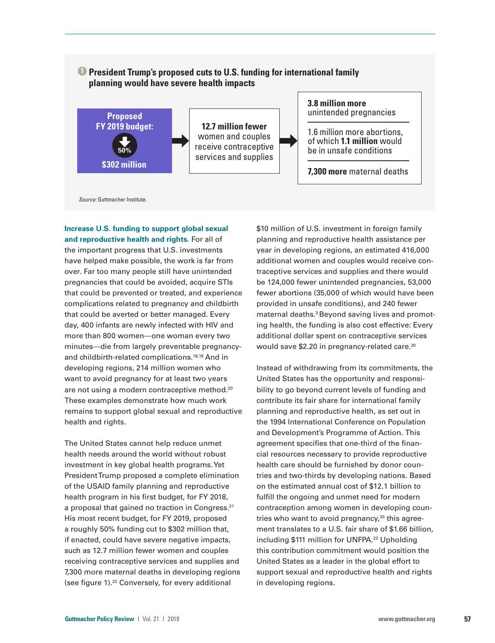### **1 President Trump's proposed cuts to U.S. funding for international family planning would have severe health impacts**



**Increase U.S. funding to support global sexual and reproductive health and rights.** For all of the important progress that U.S. investments have helped make possible, the work is far from over. Far too many people still have unintended pregnancies that could be avoided, acquire STIs that could be prevented or treated, and experience complications related to pregnancy and childbirth that could be averted or better managed. Every day, 400 infants are newly infected with HIV and more than 800 women—one woman every two minutes—die from largely preventable pregnancyand childbirth-related complications.18,19 And in developing regions, 214 million women who want to avoid pregnancy for at least two years are not using a modern contraceptive method.<sup>20</sup> These examples demonstrate how much work remains to support global sexual and reproductive health and rights.

The United States cannot help reduce unmet health needs around the world without robust investment in key global health programs. Yet President Trump proposed a complete elimination of the USAID family planning and reproductive health program in his first budget, for FY 2018, a proposal that gained no traction in Congress.<sup>21</sup> His most recent budget, for FY 2019, proposed a roughly 50% funding cut to \$302 million that, if enacted, could have severe negative impacts, such as 12.7 million fewer women and couples receiving contraceptive services and supplies and 7,300 more maternal deaths in developing regions (see figure 1).<sup>22</sup> Conversely, for every additional

\$10 million of U.S. investment in foreign family planning and reproductive health assistance per year in developing regions, an estimated 416,000 additional women and couples would receive contraceptive services and supplies and there would be 124,000 fewer unintended pregnancies, 53,000 fewer abortions (35,000 of which would have been provided in unsafe conditions), and 240 fewer maternal deaths.<sup>3</sup> Beyond saving lives and promoting health, the funding is also cost effective: Every additional dollar spent on contraceptive services would save \$2.20 in pregnancy-related care.<sup>20</sup>

Instead of withdrawing from its commitments, the United States has the opportunity and responsibility to go beyond current levels of funding and contribute its fair share for international family planning and reproductive health, as set out in the 1994 International Conference on Population and Development's Programme of Action*.* This agreement specifies that one-third of the financial resources necessary to provide reproductive health care should be furnished by donor countries and two-thirds by developing nations. Based on the estimated annual cost of \$12.1 billion to fulfill the ongoing and unmet need for modern contraception among women in developing countries who want to avoid pregnancy, $20$  this agreement translates to a U.S. fair share of \$1.66 billion, including \$111 million for UNFPA.<sup>23</sup> Upholding this contribution commitment would position the United States as a leader in the global effort to support sexual and reproductive health and rights in developing regions.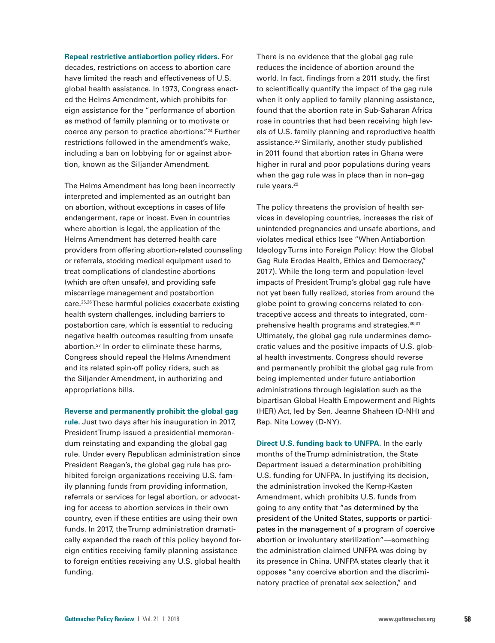**Repeal restrictive antiabortion policy riders.** For decades, restrictions on access to abortion care have limited the reach and effectiveness of U.S. global health assistance. In 1973, Congress enacted the Helms Amendment, which prohibits foreign assistance for the "performance of abortion as method of family planning or to motivate or coerce any person to practice abortions."24 Further restrictions followed in the amendment's wake, including a ban on lobbying for or against abortion, known as the Siljander Amendment.

The Helms Amendment has long been incorrectly interpreted and implemented as an outright ban on abortion, without exceptions in cases of life endangerment, rape or incest. Even in countries where abortion is legal, the application of the Helms Amendment has deterred health care providers from offering abortion-related counseling or referrals, stocking medical equipment used to treat complications of clandestine abortions (which are often unsafe), and providing safe miscarriage management and postabortion care.25,26 These harmful policies exacerbate existing health system challenges, including barriers to postabortion care, which is essential to reducing negative health outcomes resulting from unsafe abortion.27 In order to eliminate these harms, Congress should repeal the Helms Amendment and its related spin-off policy riders, such as the Siljander Amendment, in authorizing and appropriations bills.

**Reverse and permanently prohibit the global gag** 

**rule.** Just two days after his inauguration in 2017, President Trump issued a presidential memorandum reinstating and expanding the global gag rule. Under every Republican administration since President Reagan's, the global gag rule has prohibited foreign organizations receiving U.S. family planning funds from providing information, referrals or services for legal abortion, or advocating for access to abortion services in their own country, even if these entities are using their own funds. In 2017, the Trump administration dramatically expanded the reach of this policy beyond foreign entities receiving family planning assistance to foreign entities receiving any U.S. global health funding.

There is no evidence that the global gag rule reduces the incidence of abortion around the world. In fact, findings from a 2011 study, the first to scientifically quantify the impact of the gag rule when it only applied to family planning assistance, found that the abortion rate in Sub-Saharan Africa rose in countries that had been receiving high levels of U.S. family planning and reproductive health assistance.28 Similarly, another study published in 2011 found that abortion rates in Ghana were higher in rural and poor populations during years when the gag rule was in place than in non–gag rule years.29

The policy threatens the provision of health services in developing countries, increases the risk of unintended pregnancies and unsafe abortions, and violates medical ethics (see "When Antiabortion Ideology Turns into Foreign Policy: How the Global Gag Rule Erodes Health, Ethics and Democracy," 2017). While the long-term and population-level impacts of President Trump's global gag rule have not yet been fully realized, stories from around the globe point to growing concerns related to contraceptive access and threats to integrated, comprehensive health programs and strategies.30,31 Ultimately, the global gag rule undermines democratic values and the positive impacts of U.S. global health investments. Congress should reverse and permanently prohibit the global gag rule from being implemented under future antiabortion administrations through legislation such as the bipartisan Global Health Empowerment and Rights (HER) Act, led by Sen. Jeanne Shaheen (D-NH) and Rep. Nita Lowey (D-NY).

**Direct U.S. funding back to UNFPA.** In the early months of the Trump administration, the State Department issued a determination prohibiting U.S. funding for UNFPA. In justifying its decision, the administration invoked the Kemp-Kasten Amendment, which prohibits U.S. funds from going to any entity that "as determined by the president of the United States, supports or participates in the management of a program of coercive abortion or involuntary sterilization"—something the administration claimed UNFPA was doing by its presence in China. UNFPA states clearly that it opposes "any coercive abortion and the discriminatory practice of prenatal sex selection," and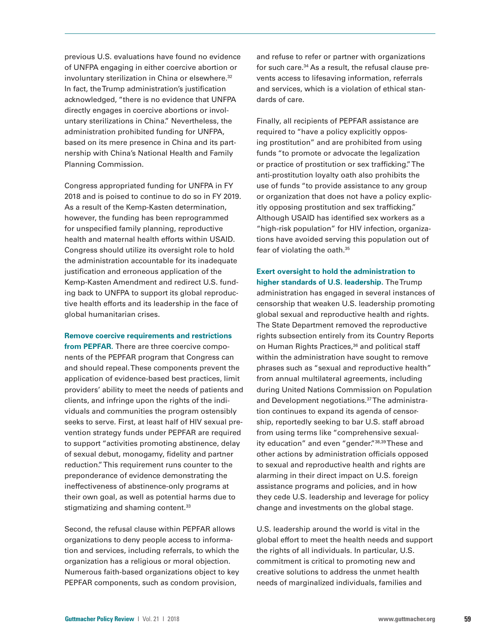previous U.S. evaluations have found no evidence of UNFPA engaging in either coercive abortion or involuntary sterilization in China or elsewhere.<sup>32</sup> In fact, the Trump administration's justification acknowledged, "there is no evidence that UNFPA directly engages in coercive abortions or involuntary sterilizations in China." Nevertheless, the administration prohibited funding for UNFPA, based on its mere presence in China and its partnership with China's National Health and Family Planning Commission.

Congress appropriated funding for UNFPA in FY 2018 and is poised to continue to do so in FY 2019. As a result of the Kemp-Kasten determination, however, the funding has been reprogrammed for unspecified family planning, reproductive health and maternal health efforts within USAID. Congress should utilize its oversight role to hold the administration accountable for its inadequate justification and erroneous application of the Kemp-Kasten Amendment and redirect U.S. funding back to UNFPA to support its global reproductive health efforts and its leadership in the face of global humanitarian crises.

#### **Remove coercive requirements and restrictions**

**from PEPFAR.** There are three coercive components of the PEPFAR program that Congress can and should repeal. These components prevent the application of evidence-based best practices, limit providers' ability to meet the needs of patients and clients, and infringe upon the rights of the individuals and communities the program ostensibly seeks to serve. First, at least half of HIV sexual prevention strategy funds under PEPFAR are required to support "activities promoting abstinence, delay of sexual debut, monogamy, fidelity and partner reduction." This requirement runs counter to the preponderance of evidence demonstrating the ineffectiveness of abstinence-only programs at their own goal, as well as potential harms due to stigmatizing and shaming content.<sup>33</sup>

Second, the refusal clause within PEPFAR allows organizations to deny people access to information and services, including referrals, to which the organization has a religious or moral objection. Numerous faith-based organizations object to key PEPFAR components, such as condom provision,

and refuse to refer or partner with organizations for such care.34 As a result, the refusal clause prevents access to lifesaving information, referrals and services, which is a violation of ethical standards of care.

Finally, all recipients of PEPFAR assistance are required to "have a policy explicitly opposing prostitution" and are prohibited from using funds "to promote or advocate the legalization or practice of prostitution or sex trafficking." The anti-prostitution loyalty oath also prohibits the use of funds "to provide assistance to any group or organization that does not have a policy explicitly opposing prostitution and sex trafficking." Although USAID has identified sex workers as a "high-risk population" for HIV infection, organizations have avoided serving this population out of fear of violating the oath.35

**Exert oversight to hold the administration to higher standards of U.S. leadership.** The Trump administration has engaged in several instances of censorship that weaken U.S. leadership promoting global sexual and reproductive health and rights. The State Department removed the reproductive rights subsection entirely from its Country Reports on Human Rights Practices,<sup>36</sup> and political staff within the administration have sought to remove phrases such as "sexual and reproductive health" from annual multilateral agreements, including during United Nations Commission on Population and Development negotiations.37 The administration continues to expand its agenda of censorship, reportedly seeking to bar U.S. staff abroad from using terms like "comprehensive sexuality education" and even "gender."38,39 These and other actions by administration officials opposed to sexual and reproductive health and rights are alarming in their direct impact on U.S. foreign assistance programs and policies, and in how they cede U.S. leadership and leverage for policy change and investments on the global stage.

U.S. leadership around the world is vital in the global effort to meet the health needs and support the rights of all individuals. In particular, U.S. commitment is critical to promoting new and creative solutions to address the unmet health needs of marginalized individuals, families and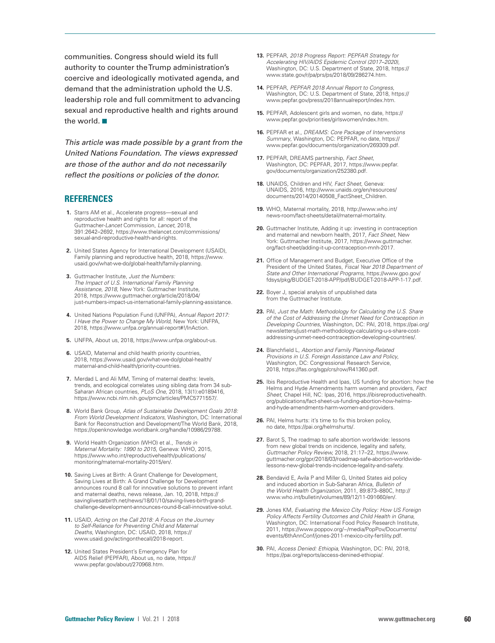communities. Congress should wield its full authority to counter the Trump administration's coercive and ideologically motivated agenda, and demand that the administration uphold the U.S. leadership role and full commitment to advancing sexual and reproductive health and rights around the world.  $\blacksquare$ 

*This article was made possible by a grant from the United Nations Foundation. The views expressed are those of the author and do not necessarily reflect the positions or policies of the donor.*

### **REFERENCES**

- **1.** Starrs AM et al., Accelerate progress—sexual and reproductive health and rights for all: report of the Guttmacher-*Lancet* Commission, *Lancet*, 2018, 391:2642–2692, [https://www.thelancet.com/commissions/](https://www.thelancet.com/commissions/sexual-and-reproductive-health-and-rights) [sexual-and-reproductive-health-and-rights](https://www.thelancet.com/commissions/sexual-and-reproductive-health-and-rights).
- **2.** United States Agency for International Development (USAID), Family planning and reproductive health, 2018, [https://www.](https://www.usaid.gov/what-we-do/global-health/family-planning) [usaid.gov/what-we-do/global-health/family-planning.](https://www.usaid.gov/what-we-do/global-health/family-planning)
- **3.** Guttmacher Institute, *Just the Numbers: The Impact of U.S. International Family Planning Assistance, 2018,* New York: Guttmacher Institute, 2018, [https://www.guttmacher.org/article/2018/04/](https://www.guttmacher.org/article/2018/04/just-numbers-impact-us-international-family-planning-assistance) [just-numbers-impact-us-international-family-planning-assistance](https://www.guttmacher.org/article/2018/04/just-numbers-impact-us-international-family-planning-assistance).
- **4.** United Nations Population Fund (UNFPA), *Annual Report 2017: I Have the Power to Change My World*, New York: UNFPA, 2018, https://www.unfpa.org/annual-report#!/InAction.
- **5.** UNFPA, About us, 2018, [https://www.unfpa.org/about-us.](https://www.unfpa.org/about-us)
- **6.** USAID, Maternal and child health priority countries, 2018, [https://www.usaid.gov/what-we-do/global-health/](https://www.usaid.gov/what-we-do/global-health/maternal-and-child-health/priority-countries) [maternal-and-child-health/priority-countries](https://www.usaid.gov/what-we-do/global-health/maternal-and-child-health/priority-countries).
- **7.** Merdad L and Ali MM, Timing of maternal deaths: levels, trends, and ecological correlates using sibling data from 34 sub-Saharan African countries, *PLoS One*, 2018, 13(1):e0189416, [https://www.ncbi.nlm.nih.gov/pmc/articles/PMC5771557/.](https://www.ncbi.nlm.nih.gov/pmc/articles/PMC5771557/)
- **8.** World Bank Group, *Atlas of Sustainable Development Goals 2018: From World Development Indicators,* Washington, DC: International Bank for Reconstruction and Development/The World Bank, 2018, [https://openknowledge.worldbank.org/handle/10986/29788.](https://openknowledge.worldbank.org/handle/10986/29788)
- **9.** World Health Organization (WHO) et al., *Trends in Maternal Mortality: 1990 to 2015*, Geneva: WHO, 2015, [https://www.who.int/reproductivehealth/publications/](https://www.who.int/reproductivehealth/publications/monitoring/maternal-mortality-2015/en/) [monitoring/maternal-mortality-2015/en/.](https://www.who.int/reproductivehealth/publications/monitoring/maternal-mortality-2015/en/)
- **10.** Saving Lives at Birth: A Grant Challenge for Development, Saving Lives at Birth: A Grand Challenge for Development announces round 8 call for innovative solutions to prevent infant and maternal deaths, news release, Jan. 10, 2018, [https://](https://savinglivesatbirth.net/news/18/01/10/saving-lives-birth-grand-challenge-development-announces-round-8-call-innovative-solut) [savinglivesatbirth.net/news/18/01/10/saving-lives-birth-grand](https://savinglivesatbirth.net/news/18/01/10/saving-lives-birth-grand-challenge-development-announces-round-8-call-innovative-solut)[challenge-development-announces-round-8-call-innovative-solut](https://savinglivesatbirth.net/news/18/01/10/saving-lives-birth-grand-challenge-development-announces-round-8-call-innovative-solut).
- **11.** USAID, *Acting on the Call 2018: A Focus on the Journey to Self-Reliance for Preventing Child and Maternal Deaths,* Washington, DC: USAID, 2018, [https://](https://www.usaid.gov/actingonthecall/2018-report) [www.usaid.gov/actingonthecall/2018-report.](https://www.usaid.gov/actingonthecall/2018-report)
- **12.** United States President's Emergency Plan for AIDS Relief (PEPFAR), About us, no date, [https://](https://www.pepfar.gov/about/270968.htm) [www.pepfar.gov/about/270968.htm.](https://www.pepfar.gov/about/270968.htm)
- **13.** PEPFAR, *2018 Progress Report: PEPFAR Strategy for Accelerating HIV/AIDS Epidemic Control (2017–2020)*, Washington, DC: U.S. Department of State, 2018, [https://](https://www.state.gov/r/pa/prs/ps/2018/09/286274.htm) [www.state.gov/r/pa/prs/ps/2018/09/286274.htm](https://www.state.gov/r/pa/prs/ps/2018/09/286274.htm).
- **14.** PEPFAR, *PEPFAR 2018 Annual Report to Congress*, Washington, DC: U.S. Department of State, 2018, [https://](https://www.pepfar.gov/press/2018annualreport/index.htm) [www.pepfar.gov/press/2018annualreport/index.htm.](https://www.pepfar.gov/press/2018annualreport/index.htm)
- **15.** PEPFAR, Adolescent girls and women, no date, [https://](https://www.pepfar.gov/priorities/girlswomen/index.htm) [www.pepfar.gov/priorities/girlswomen/index.htm.](https://www.pepfar.gov/priorities/girlswomen/index.htm)
- **16.** PEPFAR et al., *DREAMS: Core Package of Interventions Summary*, Washington, DC: PEPFAR, no date, [https://](https://www.pepfar.gov/documents/organization/269309.pdf) [www.pepfar.gov/documents/organization/269309.pdf.](https://www.pepfar.gov/documents/organization/269309.pdf)
- **17.** PEPFAR, DREAMS partnership, *Fact Sheet*, Washington, DC: PEPFAR, 2017, [https://www.pepfar.](https://www.pepfar.gov/documents/organization/252380.pdf) [gov/documents/organization/252380.pdf.](https://www.pepfar.gov/documents/organization/252380.pdf)
- **18.** UNAIDS, Children and HIV, *Fact Sheet*, Geneva: UNAIDS, 2016, [http://www.unaids.org/en/resources/](http://www.unaids.org/en/resources/documents/2014/20140508_FactSheet_Children) [documents/2014/20140508\\_FactSheet\\_Children.](http://www.unaids.org/en/resources/documents/2014/20140508_FactSheet_Children)
- **19.** WHO, Maternal mortality, 2018, [http://www.who.int/](http://www.who.int/news-room/fact-sheets/detail/maternal-mortality) [news-room/fact-sheets/detail/maternal-mortality.](http://www.who.int/news-room/fact-sheets/detail/maternal-mortality)
- **20.** Guttmacher Institute, Adding it up: investing in contraception and maternal and newborn health, 2017, *Fact Sheet*, New York: Guttmacher Institute, 2017, [https://www.guttmacher.](https://www.guttmacher.org/fact-sheet/adding-it-up-contraception-mnh-2017) [org/fact-sheet/adding-it-up-contraception-mnh-2017.](https://www.guttmacher.org/fact-sheet/adding-it-up-contraception-mnh-2017)
- **21.** Office of Management and Budget, Executive Office of the President of the United States, *Fiscal Year 2018 Department of State and Other International Programs*, [https://www.gpo.gov/](https://www.gpo.gov/fdsys/pkg/BUDGET-2018-APP/pdf/BUDGET-2018-APP-1-17.pdf) [fdsys/pkg/BUDGET-2018-APP/pdf/BUDGET-2018-APP-1-17.pdf](https://www.gpo.gov/fdsys/pkg/BUDGET-2018-APP/pdf/BUDGET-2018-APP-1-17.pdf).
- **22.** Boyer J, special analysis of unpublished data from the Guttmacher Institute
- **23.** PAI, *Just the Math: Methodology for Calculating the U.S. Share of the Cost of Addressing the Unmet Need for Contraception in Developing Countries,* Washington, DC: PAI, 2018, https://pai.org/ newsletters/just-math-methodology-calculating-u-s-share-costaddressing-unmet-need-contraception-developing-countries/.
- **24.** Blanchfield L, *Abortion and Family Planning-Related Provisions in U.S. Foreign Assistance Law and Policy*, Washington, DC: Congressional Research Service, 2018, [https://fas.org/sgp/crs/row/R41360.pdf.](https://fas.org/sgp/crs/row/R41360.pdf)
- **25.** Ibis Reproductive Health and Ipas, US funding for abortion: how the Helms and Hyde Amendments harm women and providers, *Fact Sheet*, Chapel Hill, NC: Ipas, 2016, [https://ibisreproductivehealth.](https://ibisreproductivehealth.org/publications/fact-sheet-us-funding-abortion-how-helms-and-hyde-amendments-harm-women-and-providers) [org/publications/fact-sheet-us-funding-abortion-how-helms](https://ibisreproductivehealth.org/publications/fact-sheet-us-funding-abortion-how-helms-and-hyde-amendments-harm-women-and-providers)[and-hyde-amendments-harm-women-and-providers.](https://ibisreproductivehealth.org/publications/fact-sheet-us-funding-abortion-how-helms-and-hyde-amendments-harm-women-and-providers)
- **26.** PAI, Helms hurts: it's time to fix this broken policy, no date, <https://pai.org/helmshurts/>.
- **27.** Barot S, The roadmap to safe abortion worldwide: lessons from new global trends on incidence, legality and safety, *Guttmacher Policy Review,* 2018, 21:17–22, [https://www.](https://www.guttmacher.org/gpr/2018/03/roadmap-safe-abortion-worldwide-lessons-new-global-trends-incidence-legality-and-safety) [guttmacher.org/gpr/2018/03/roadmap-safe-abortion-worldwide](https://www.guttmacher.org/gpr/2018/03/roadmap-safe-abortion-worldwide-lessons-new-global-trends-incidence-legality-and-safety)[lessons-new-global-trends-incidence-legality-and-safety.](https://www.guttmacher.org/gpr/2018/03/roadmap-safe-abortion-worldwide-lessons-new-global-trends-incidence-legality-and-safety)
- **28.** Bendavid E, Avila P and Miller G, United States aid policy and induced abortion in Sub-Saharan Africa, *Bulletin of the World Health Organization*, 2011, 89:873–880C, [http://](http://www.who.int/bulletin/volumes/89/12/11-091660/en/) [www.who.int/bulletin/volumes/89/12/11-091660/en/](http://www.who.int/bulletin/volumes/89/12/11-091660/en/).
- **29.** Jones KM, *Evaluating the Mexico City Policy: How US Foreign Policy Affects Fertility Outcomes and Child Health in Ghana*, Washington, DC: International Food Policy Research Institute, 2011, [https://www.poppov.org/~/media/PopPov/Documents/](https://www.poppov.org/~/media/PopPov/Documents/events/6thAnnConf/jones-2011-mexico-city-fertility.pdf) [events/6thAnnConf/jones-2011-mexico-city-fertility.pdf](https://www.poppov.org/~/media/PopPov/Documents/events/6thAnnConf/jones-2011-mexico-city-fertility.pdf).
- **30.** PAI, *Access Denied: Ethiopia*, Washington, DC: PAI, 2018, [https://pai.org/reports/access-denined-ethiopia/.](https://pai.org/reports/access-denined-ethiopia/)